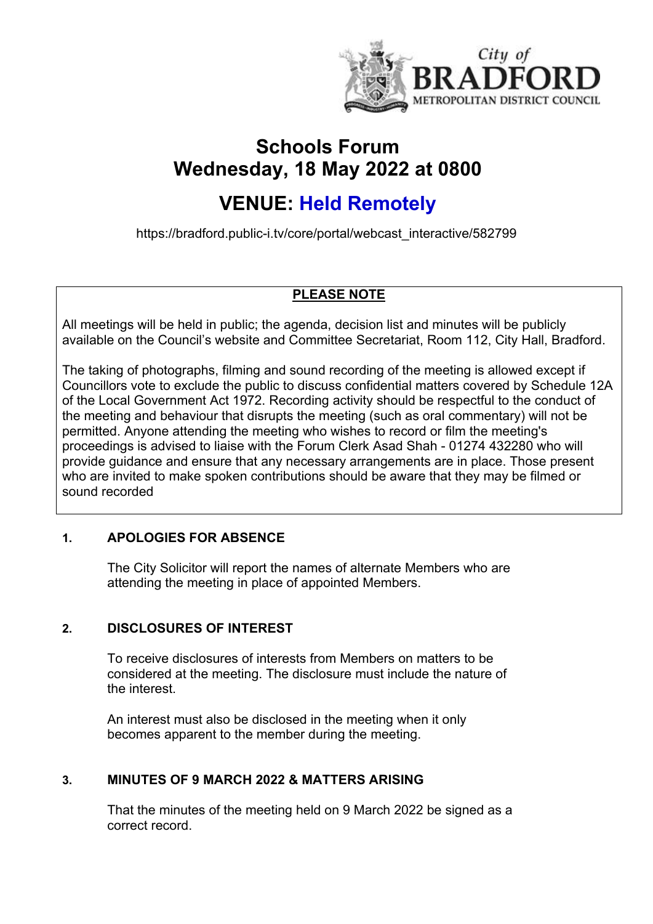

# **Schools Forum Wednesday, 18 May 2022 at 0800**

# **VENUE: Held Remotely**

https://bradford.public-i.tv/core/portal/webcast\_interactive/582799

# **PLEASE NOTE**

All meetings will be held in public; the agenda, decision list and minutes will be publicly available on the Council's website and Committee Secretariat, Room 112, City Hall, Bradford.

The taking of photographs, filming and sound recording of the meeting is allowed except if Councillors vote to exclude the public to discuss confidential matters covered by Schedule 12A of the Local Government Act 1972. Recording activity should be respectful to the conduct of the meeting and behaviour that disrupts the meeting (such as oral commentary) will not be permitted. Anyone attending the meeting who wishes to record or film the meeting's proceedings is advised to liaise with the Forum Clerk Asad Shah - 01274 432280 who will provide guidance and ensure that any necessary arrangements are in place. Those present who are invited to make spoken contributions should be aware that they may be filmed or sound recorded

# **1. APOLOGIES FOR ABSENCE**

The City Solicitor will report the names of alternate Members who are attending the meeting in place of appointed Members.

# **2. DISCLOSURES OF INTEREST**

To receive disclosures of interests from Members on matters to be considered at the meeting. The disclosure must include the nature of the interest.

An interest must also be disclosed in the meeting when it only becomes apparent to the member during the meeting.

# **3. MINUTES OF 9 MARCH 2022 & MATTERS ARISING**

That the minutes of the meeting held on 9 March 2022 be signed as a correct record.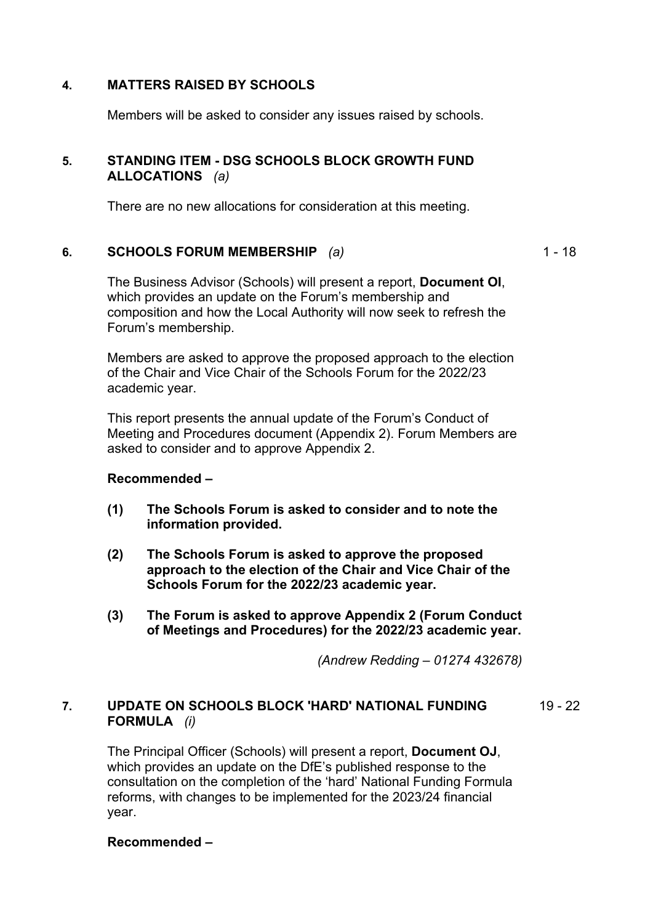# **4. MATTERS RAISED BY SCHOOLS**

Members will be asked to consider any issues raised by schools.

# **5. STANDING ITEM - DSG SCHOOLS BLOCK GROWTH FUND ALLOCATIONS** *(a)*

There are no new allocations for consideration at this meeting.

## **6. SCHOOLS FORUM MEMBERSHIP** *(a)*

 $1 - 18$ 

The Business Advisor (Schools) will present a report, **Document OI**, which provides an update on the Forum's membership and composition and how the Local Authority will now seek to refresh the Forum's membership.

Members are asked to approve the proposed approach to the election of the Chair and Vice Chair of the Schools Forum for the 2022/23 academic year.

This report presents the annual update of the Forum's Conduct of Meeting and Procedures document (Appendix 2). Forum Members are asked to consider and to approve Appendix 2.

## **Recommended –**

- **(1) The Schools Forum is asked to consider and to note the information provided.**
- **(2) The Schools Forum is asked to approve the proposed approach to the election of the Chair and Vice Chair of the Schools Forum for the 2022/23 academic year.**
- **(3) The Forum is asked to approve Appendix 2 (Forum Conduct of Meetings and Procedures) for the 2022/23 academic year.**

*(Andrew Redding – 01274 432678)*

#### **7. UPDATE ON SCHOOLS BLOCK 'HARD' NATIONAL FUNDING FORMULA** *(i)*  $19 - 22$

The Principal Officer (Schools) will present a report, **Document OJ**, which provides an update on the DfE's published response to the consultation on the completion of the 'hard' National Funding Formula reforms, with changes to be implemented for the 2023/24 financial year.

**Recommended –**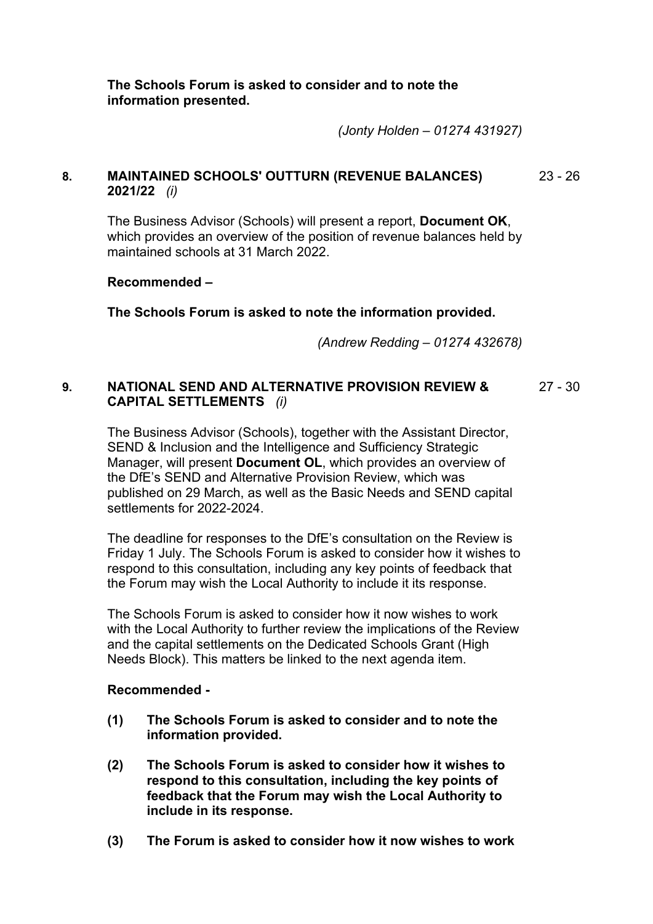**The Schools Forum is asked to consider and to note the information presented.**

*(Jonty Holden – 01274 431927)*

#### **8. MAINTAINED SCHOOLS' OUTTURN (REVENUE BALANCES) 2021/22** *(i)* 23 - 26

The Business Advisor (Schools) will present a report, **Document OK**, which provides an overview of the position of revenue balances held by maintained schools at 31 March 2022.

#### **Recommended –**

**The Schools Forum is asked to note the information provided.**

*(Andrew Redding – 01274 432678)*

#### **9. NATIONAL SEND AND ALTERNATIVE PROVISION REVIEW & CAPITAL SETTLEMENTS** *(i)* 27 - 30

The Business Advisor (Schools), together with the Assistant Director, SEND & Inclusion and the Intelligence and Sufficiency Strategic Manager, will present **Document OL**, which provides an overview of the DfE's SEND and Alternative Provision Review, which was published on 29 March, as well as the Basic Needs and SEND capital settlements for 2022-2024.

The deadline for responses to the DfE's consultation on the Review is Friday 1 July. The Schools Forum is asked to consider how it wishes to respond to this consultation, including any key points of feedback that the Forum may wish the Local Authority to include it its response.

The Schools Forum is asked to consider how it now wishes to work with the Local Authority to further review the implications of the Review and the capital settlements on the Dedicated Schools Grant (High Needs Block). This matters be linked to the next agenda item.

## **Recommended -**

- **(1) The Schools Forum is asked to consider and to note the information provided.**
- **(2) The Schools Forum is asked to consider how it wishes to respond to this consultation, including the key points of feedback that the Forum may wish the Local Authority to include in its response.**
- **(3) The Forum is asked to consider how it now wishes to work**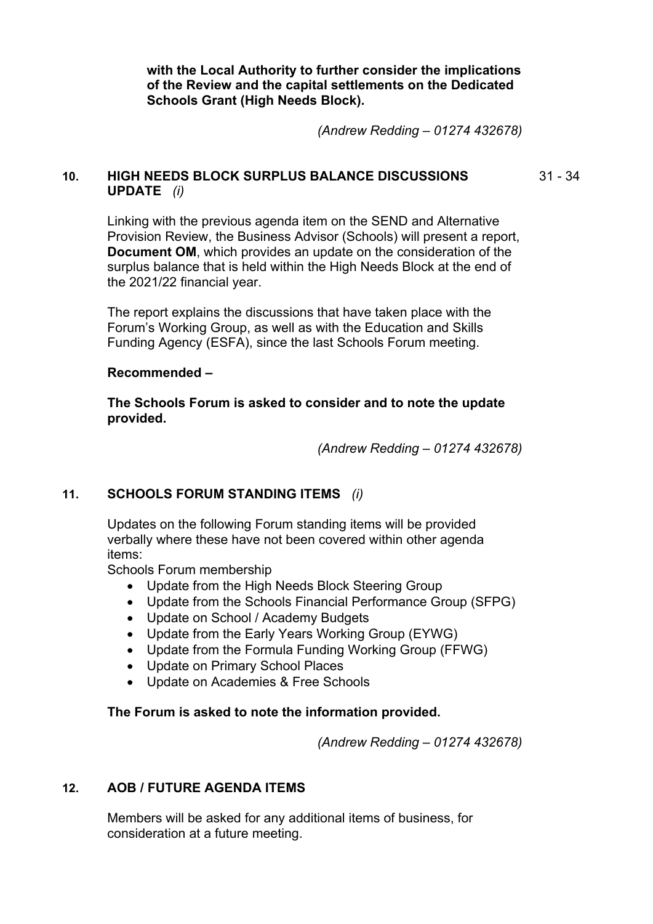**with the Local Authority to further consider the implications of the Review and the capital settlements on the Dedicated Schools Grant (High Needs Block).**

*(Andrew Redding – 01274 432678)*

# **10. HIGH NEEDS BLOCK SURPLUS BALANCE DISCUSSIONS UPDATE** *(i)*

31 - 34

Linking with the previous agenda item on the SEND and Alternative Provision Review, the Business Advisor (Schools) will present a report, **Document OM**, which provides an update on the consideration of the surplus balance that is held within the High Needs Block at the end of the 2021/22 financial year.

The report explains the discussions that have taken place with the Forum's Working Group, as well as with the Education and Skills Funding Agency (ESFA), since the last Schools Forum meeting.

#### **Recommended –**

**The Schools Forum is asked to consider and to note the update provided.**

*(Andrew Redding – 01274 432678)*

## **11. SCHOOLS FORUM STANDING ITEMS** *(i)*

Updates on the following Forum standing items will be provided verbally where these have not been covered within other agenda items:

Schools Forum membership

- Update from the High Needs Block Steering Group
- Update from the Schools Financial Performance Group (SFPG)
- Update on School / Academy Budgets
- Update from the Early Years Working Group (EYWG)
- Update from the Formula Funding Working Group (FFWG)
- Update on Primary School Places
- Update on Academies & Free Schools

## **The Forum is asked to note the information provided.**

*(Andrew Redding – 01274 432678)*

# **12. AOB / FUTURE AGENDA ITEMS**

Members will be asked for any additional items of business, for consideration at a future meeting.